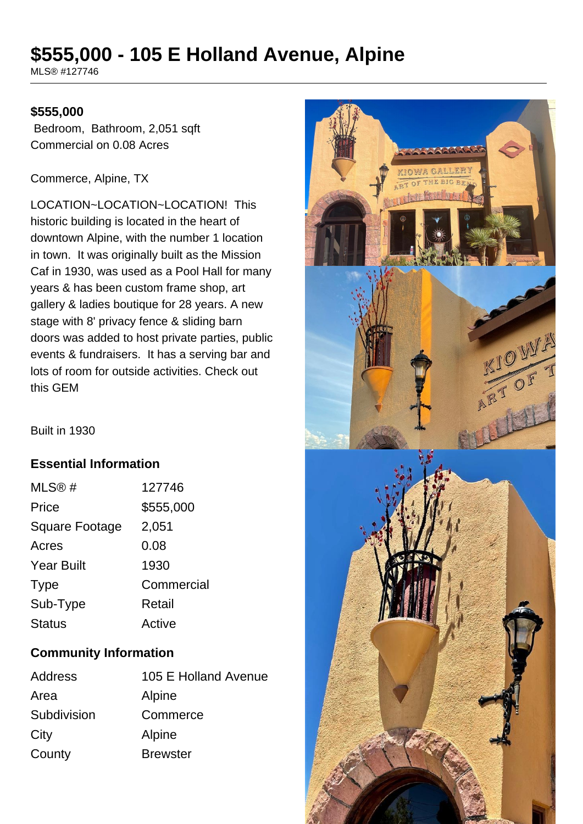# **\$555,000 - 105 E Holland Avenue, Alpine**

MLS® #127746

#### **\$555,000**

 Bedroom, Bathroom, 2,051 sqft Commercial on 0.08 Acres

Commerce, Alpine, TX

LOCATION~LOCATION~LOCATION! This historic building is located in the heart of downtown Alpine, with the number 1 location in town. It was originally built as the Mission Caf in 1930, was used as a Pool Hall for many years & has been custom frame shop, art gallery & ladies boutique for 28 years. A new stage with 8' privacy fence & sliding barn doors was added to host private parties, public events & fundraisers. It has a serving bar and lots of room for outside activities. Check out this GEM

Built in 1930

#### **Essential Information**

| MLS@#                 | 127746     |
|-----------------------|------------|
| Price                 | \$555,000  |
| <b>Square Footage</b> | 2,051      |
| Acres                 | 0.08       |
| <b>Year Built</b>     | 1930       |
| <b>Type</b>           | Commercial |
| Sub-Type              | Retail     |
| <b>Status</b>         | Active     |

## **Community Information**

| Address     | 105 E Holland Avenue |
|-------------|----------------------|
| Area        | Alpine               |
| Subdivision | Commerce             |
| City        | Alpine               |
| County      | <b>Brewster</b>      |